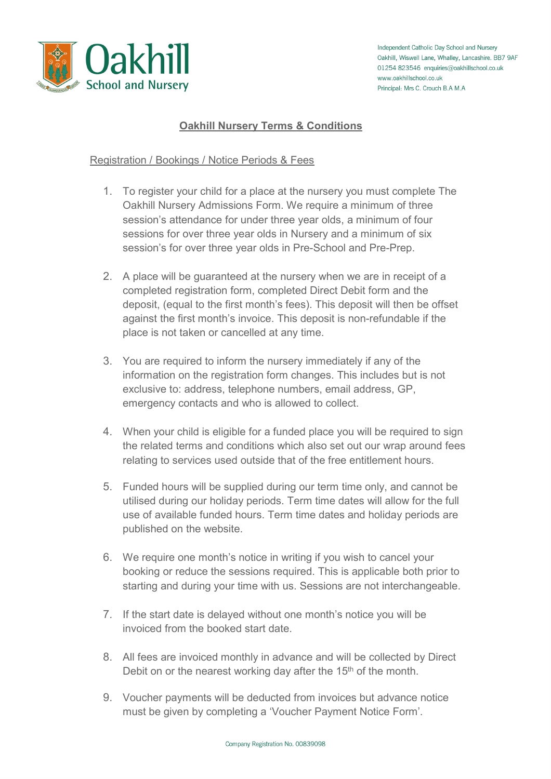

# **Oakhill Nursery Terms & Conditions**

## Registration / Bookings / Notice Periods & Fees

- 1. To register your child for a place at the nursery you must complete The Oakhill Nursery Admissions Form. We require a minimum of three session's attendance for under three year olds, a minimum of four sessions for over three year olds in Nursery and a minimum of six session's for over three year olds in Pre-School and Pre-Prep.
- 2. A place will be guaranteed at the nursery when we are in receipt of a completed registration form, completed Direct Debit form and the deposit, (equal to the first month's fees). This deposit will then be offset against the first month's invoice. This deposit is non-refundable if the place is not taken or cancelled at any time.
- 3. You are required to inform the nursery immediately if any of the information on the registration form changes. This includes but is not exclusive to: address, telephone numbers, email address, GP, emergency contacts and who is allowed to collect.
- 4. When your child is eligible for a funded place you will be required to sign the related terms and conditions which also set out our wrap around fees relating to services used outside that of the free entitlement hours.
- 5. Funded hours will be supplied during our term time only, and cannot be utilised during our holiday periods. Term time dates will allow for the full use of available funded hours. Term time dates and holiday periods are published on the website.
- 6. We require one month's notice in writing if you wish to cancel your booking or reduce the sessions required. This is applicable both prior to starting and during your time with us. Sessions are not interchangeable.
- 7. If the start date is delayed without one month's notice you will be invoiced from the booked start date.
- 8. All fees are invoiced monthly in advance and will be collected by Direct Debit on or the nearest working day after the 15<sup>th</sup> of the month.
- 9. Voucher payments will be deducted from invoices but advance notice must be given by completing a 'Voucher Payment Notice Form'.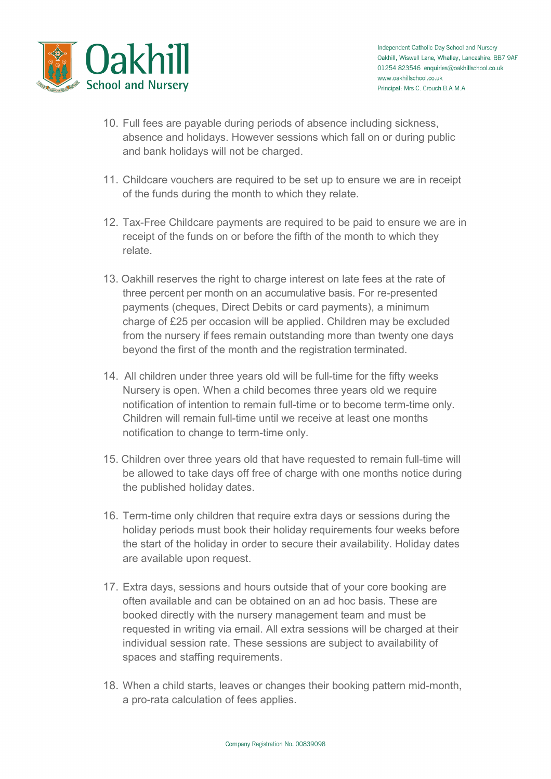

- 10. Full fees are payable during periods of absence including sickness, absence and holidays. However sessions which fall on or during public and bank holidays will not be charged.
- 11. Childcare vouchers are required to be set up to ensure we are in receipt of the funds during the month to which they relate.
- 12. Tax-Free Childcare payments are required to be paid to ensure we are in receipt of the funds on or before the fifth of the month to which they relate.
- 13. Oakhill reserves the right to charge interest on late fees at the rate of three percent per month on an accumulative basis. For re-presented payments (cheques, Direct Debits or card payments), a minimum charge of £25 per occasion will be applied. Children may be excluded from the nursery if fees remain outstanding more than twenty one days beyond the first of the month and the registration terminated.
- 14. All children under three years old will be full-time for the fifty weeks Nursery is open. When a child becomes three years old we require notification of intention to remain full-time or to become term-time only. Children will remain full-time until we receive at least one months notification to change to term-time only.
- 15. Children over three years old that have requested to remain full-time will be allowed to take days off free of charge with one months notice during the published holiday dates.
- 16. Term-time only children that require extra days or sessions during the holiday periods must book their holiday requirements four weeks before the start of the holiday in order to secure their availability. Holiday dates are available upon request.
- 17. Extra days, sessions and hours outside that of your core booking are often available and can be obtained on an ad hoc basis. These are booked directly with the nursery management team and must be requested in writing via email. All extra sessions will be charged at their individual session rate. These sessions are subject to availability of spaces and staffing requirements.
- 18. When a child starts, leaves or changes their booking pattern mid-month, a pro-rata calculation of fees applies.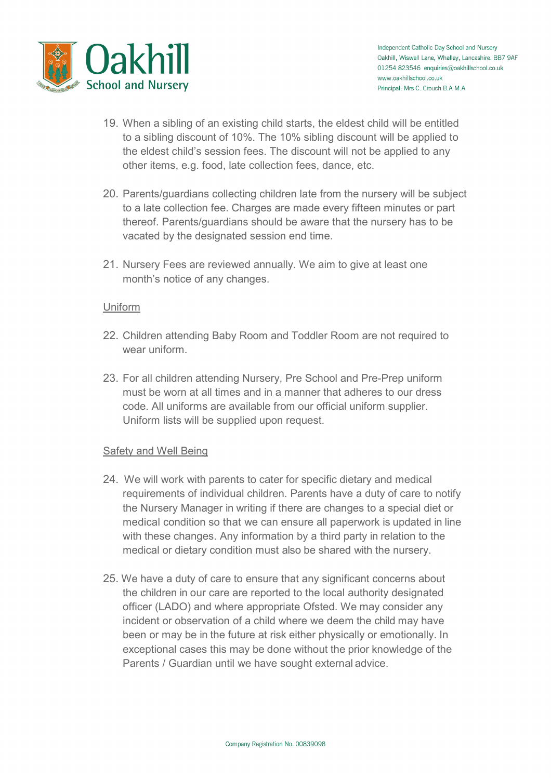

- 19. When a sibling of an existing child starts, the eldest child will be entitled to a sibling discount of 10%. The 10% sibling discount will be applied to the eldest child's session fees. The discount will not be applied to any other items, e.g. food, late collection fees, dance, etc.
- 20. Parents/guardians collecting children late from the nursery will be subject to a late collection fee. Charges are made every fifteen minutes or part thereof. Parents/guardians should be aware that the nursery has to be vacated by the designated session end time.
- 21. Nursery Fees are reviewed annually. We aim to give at least one month's notice of any changes.

## **Uniform**

- 22. Children attending Baby Room and Toddler Room are not required to wear uniform.
- 23. For all children attending Nursery, Pre School and Pre-Prep uniform must be worn at all times and in a manner that adheres to our dress code. All uniforms are available from our official uniform supplier. Uniform lists will be supplied upon request.

## Safety and Well Being

- 24. We will work with parents to cater for specific dietary and medical requirements of individual children. Parents have a duty of care to notify the Nursery Manager in writing if there are changes to a special diet or medical condition so that we can ensure all paperwork is updated in line with these changes. Any information by a third party in relation to the medical or dietary condition must also be shared with the nursery.
- 25. We have a duty of care to ensure that any significant concerns about the children in our care are reported to the local authority designated officer (LADO) and where appropriate Ofsted. We may consider any incident or observation of a child where we deem the child may have been or may be in the future at risk either physically or emotionally. In exceptional cases this may be done without the prior knowledge of the Parents / Guardian until we have sought external advice.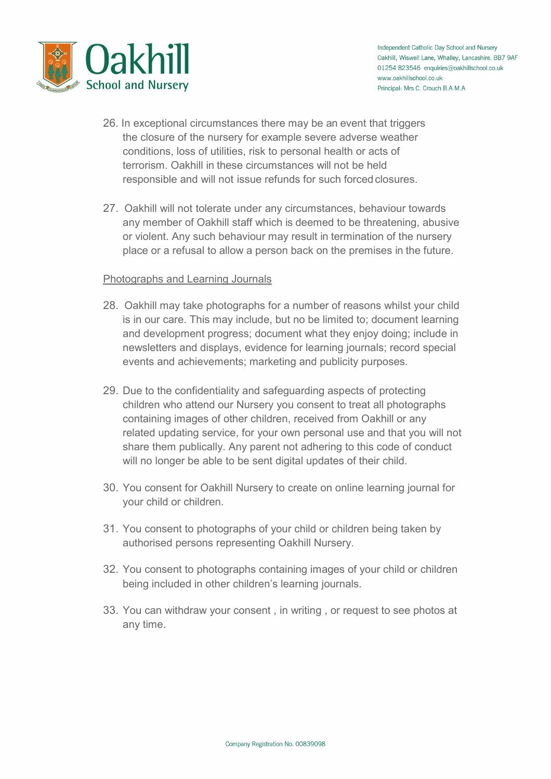

- 26. In exceptional circumstances there may be an event that triggers the closure of the nursery for example severe adverse weather conditions, loss of utilities, risk to personal health or acts of terrorism. Oakhill in these circumstances will not be held responsible and will not issue refunds for such forced closures.
- 27. Oakhill will not tolerate under any circumstances, behaviour towards any member of Oakhill staff which is deemed to be threatening, abusive or violent. Any such behaviour may result in termination of the nursery place or a refusal to allow a person back on the premises in the future.

## Photographs and Learning Journals

- 28. Oakhill may take photographs for a number of reasons whilst your child is in our care. This may include, but no be limited to; document learning and development progress; document what they enjoy doing; include in newsletters and displays, evidence for learning journals; record special events and achievements; marketing and publicity purposes.
- 29. Due to the confidentiality and safeguarding aspects of protecting children who attend our Nursery you consent to treat all photographs containing images of other children, received from Oakhill or any related updating service, for your own personal use and that you will not share them publically. Any parent not adhering to this code of conduct will no longer be able to be sent digital updates of their child.
- 30. You consent for Oakhill Nursery to create on online learning journal for your child or children.
- 31. You consent to photographs of your child or children being taken by authorised persons representing Oakhill Nursery.
- 32. You consent to photographs containing images of your child or children being included in other children's learning journals.
- 33. You can withdraw your consent , in writing , or request to see photos at any time.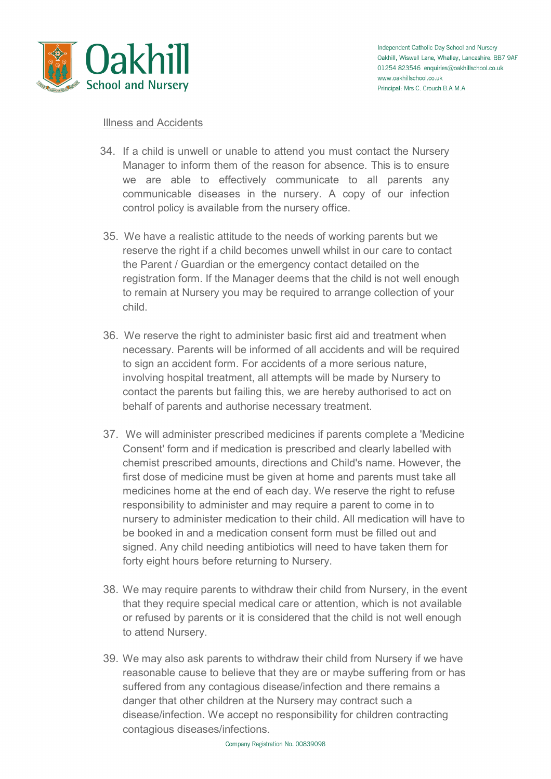

#### Illness and Accidents

- 34. If a child is unwell or unable to attend you must contact the Nursery Manager to inform them of the reason for absence. This is to ensure we are able to effectively communicate to all parents any communicable diseases in the nursery. A copy of our infection control policy is available from the nursery office.
- 35. We have a realistic attitude to the needs of working parents but we reserve the right if a child becomes unwell whilst in our care to contact the Parent / Guardian or the emergency contact detailed on the registration form. If the Manager deems that the child is not well enough to remain at Nursery you may be required to arrange collection of your child.
- 36. We reserve the right to administer basic first aid and treatment when necessary. Parents will be informed of all accidents and will be required to sign an accident form. For accidents of a more serious nature, involving hospital treatment, all attempts will be made by Nursery to contact the parents but failing this, we are hereby authorised to act on behalf of parents and authorise necessary treatment.
- 37. We will administer prescribed medicines if parents complete a 'Medicine Consent' form and if medication is prescribed and clearly labelled with chemist prescribed amounts, directions and Child's name. However, the first dose of medicine must be given at home and parents must take all medicines home at the end of each day. We reserve the right to refuse responsibility to administer and may require a parent to come in to nursery to administer medication to their child. All medication will have to be booked in and a medication consent form must be filled out and signed. Any child needing antibiotics will need to have taken them for forty eight hours before returning to Nursery.
- 38. We may require parents to withdraw their child from Nursery, in the event that they require special medical care or attention, which is not available or refused by parents or it is considered that the child is not well enough to attend Nursery.
- 39. We may also ask parents to withdraw their child from Nursery if we have reasonable cause to believe that they are or maybe suffering from or has suffered from any contagious disease/infection and there remains a danger that other children at the Nursery may contract such a disease/infection. We accept no responsibility for children contracting contagious diseases/infections.